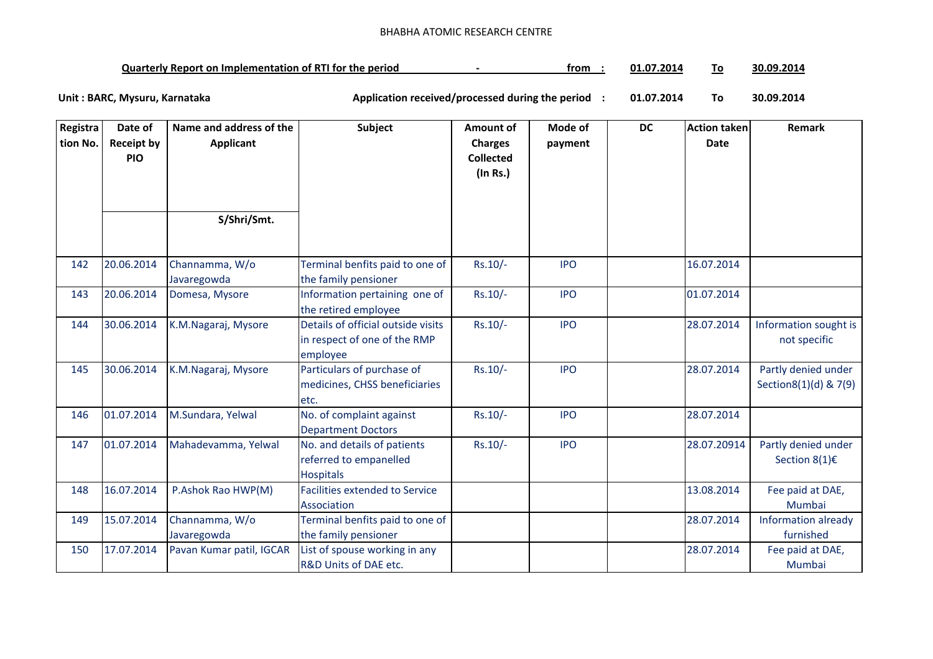## BHABHA ATOMIC RESEARCH CENTRE

| <b>Quarterly Report on Implementation of RTI for the period</b> | trom | 2014. /<br>Λ1 |  | 30.09.2014 |
|-----------------------------------------------------------------|------|---------------|--|------------|
|-----------------------------------------------------------------|------|---------------|--|------------|

**01.07.2014 To 30.09.2014** Unit : BARC, Mysuru, Karnataka **Alexander State and Application received/processed during the period** :

| Registra<br>tion No. | Date of<br><b>Receipt by</b><br><b>PIO</b> | Name and address of the<br>Applicant | Subject                                                                        | <b>Amount of</b><br><b>Charges</b><br><b>Collected</b><br>(In Rs.) | Mode of<br>payment | DC | Action taken<br><b>Date</b> | Remark                                        |
|----------------------|--------------------------------------------|--------------------------------------|--------------------------------------------------------------------------------|--------------------------------------------------------------------|--------------------|----|-----------------------------|-----------------------------------------------|
|                      |                                            | S/Shri/Smt.                          |                                                                                |                                                                    |                    |    |                             |                                               |
| 142                  | 20.06.2014                                 | Channamma, W/o<br>Javaregowda        | Terminal benfits paid to one of<br>the family pensioner                        | $Rs.10/-$                                                          | <b>IPO</b>         |    | 16.07.2014                  |                                               |
| 143                  | 20.06.2014                                 | Domesa, Mysore                       | Information pertaining one of<br>the retired employee                          | $Rs.10/-$                                                          | <b>IPO</b>         |    | 01.07.2014                  |                                               |
| 144                  | 30.06.2014                                 | K.M.Nagaraj, Mysore                  | Details of official outside visits<br>in respect of one of the RMP<br>employee | $Rs.10/-$                                                          | <b>IPO</b>         |    | 28.07.2014                  | Information sought is<br>not specific         |
| 145                  | 30.06.2014                                 | K.M.Nagaraj, Mysore                  | Particulars of purchase of<br>medicines, CHSS beneficiaries<br>etc.            | $Rs.10/-$                                                          | <b>IPO</b>         |    | 28.07.2014                  | Partly denied under<br>Section8(1)(d) & 7(9)  |
| 146                  | 01.07.2014                                 | M.Sundara, Yelwal                    | No. of complaint against<br><b>Department Doctors</b>                          | $Rs.10/-$                                                          | <b>IPO</b>         |    | 28.07.2014                  |                                               |
| 147                  | 01.07.2014                                 | Mahadevamma, Yelwal                  | No. and details of patients<br>referred to empanelled<br><b>Hospitals</b>      | $Rs.10/-$                                                          | <b>IPO</b>         |    | 28.07.20914                 | Partly denied under<br>Section $8(1)\epsilon$ |
| 148                  | 16.07.2014                                 | P.Ashok Rao HWP(M)                   | <b>Facilities extended to Service</b><br>Association                           |                                                                    |                    |    | 13.08.2014                  | Fee paid at DAE,<br>Mumbai                    |
| 149                  | 15.07.2014                                 | Channamma, W/o<br>Javaregowda        | Terminal benfits paid to one of<br>the family pensioner                        |                                                                    |                    |    | 28.07.2014                  | Information already<br>furnished              |
| 150                  | 17.07.2014                                 | Pavan Kumar patil, IGCAR             | List of spouse working in any<br>R&D Units of DAE etc.                         |                                                                    |                    |    | 28.07.2014                  | Fee paid at DAE,<br>Mumbai                    |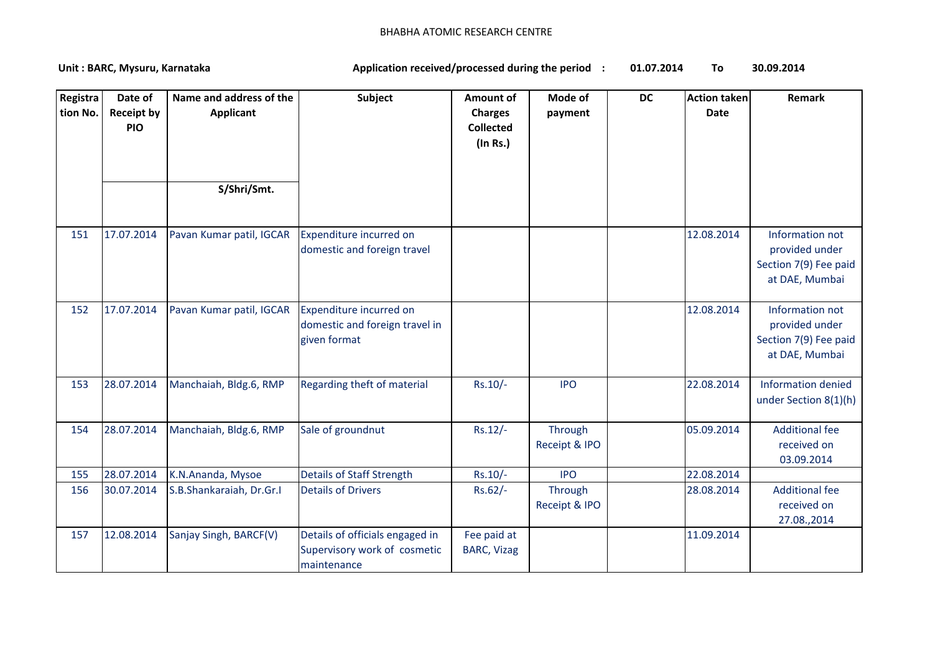## BHABHA ATOMIC RESEARCH CENTRE

**01.07.2014 To 30.09.2014** Unit : BARC, Mysuru, Karnataka **Alexander State and Application received/processed during the period** :

| Registra<br>tion No. | Date of<br><b>Receipt by</b><br><b>PIO</b> | Name and address of the<br><b>Applicant</b><br>S/Shri/Smt. | Subject                                                                        | <b>Amount of</b><br><b>Charges</b><br><b>Collected</b><br>$($ In Rs. $)$ | Mode of<br>payment       | <b>DC</b> | <b>Action taken</b><br><b>Date</b> | Remark                                                                       |
|----------------------|--------------------------------------------|------------------------------------------------------------|--------------------------------------------------------------------------------|--------------------------------------------------------------------------|--------------------------|-----------|------------------------------------|------------------------------------------------------------------------------|
|                      |                                            |                                                            |                                                                                |                                                                          |                          |           |                                    |                                                                              |
| 151                  | 17.07.2014                                 | Pavan Kumar patil, IGCAR                                   | Expenditure incurred on<br>domestic and foreign travel                         |                                                                          |                          |           | 12.08.2014                         | Information not<br>provided under<br>Section 7(9) Fee paid<br>at DAE, Mumbai |
| 152                  | 17.07.2014                                 | Pavan Kumar patil, IGCAR                                   | Expenditure incurred on<br>domestic and foreign travel in<br>given format      |                                                                          |                          |           | 12.08.2014                         | Information not<br>provided under<br>Section 7(9) Fee paid<br>at DAE, Mumbai |
| 153                  | 28.07.2014                                 | Manchaiah, Bldg.6, RMP                                     | Regarding theft of material                                                    | Rs.10/-                                                                  | <b>IPO</b>               |           | 22.08.2014                         | <b>Information denied</b><br>under Section 8(1)(h)                           |
| 154                  | 28.07.2014                                 | Manchaiah, Bldg.6, RMP                                     | Sale of groundnut                                                              | Rs.12/-                                                                  | Through<br>Receipt & IPO |           | 05.09.2014                         | <b>Additional fee</b><br>received on<br>03.09.2014                           |
| 155                  | 28.07.2014                                 | K.N.Ananda, Mysoe                                          | <b>Details of Staff Strength</b>                                               | $Rs.10/-$                                                                | <b>IPO</b>               |           | 22.08.2014                         |                                                                              |
| 156                  | 30.07.2014                                 | S.B.Shankaraiah, Dr.Gr.I                                   | <b>Details of Drivers</b>                                                      | $Rs.62/-$                                                                | Through<br>Receipt & IPO |           | 28.08.2014                         | <b>Additional fee</b><br>received on<br>27.08.,2014                          |
| 157                  | 12.08.2014                                 | Sanjay Singh, BARCF(V)                                     | Details of officials engaged in<br>Supervisory work of cosmetic<br>maintenance | Fee paid at<br><b>BARC, Vizag</b>                                        |                          |           | 11.09.2014                         |                                                                              |